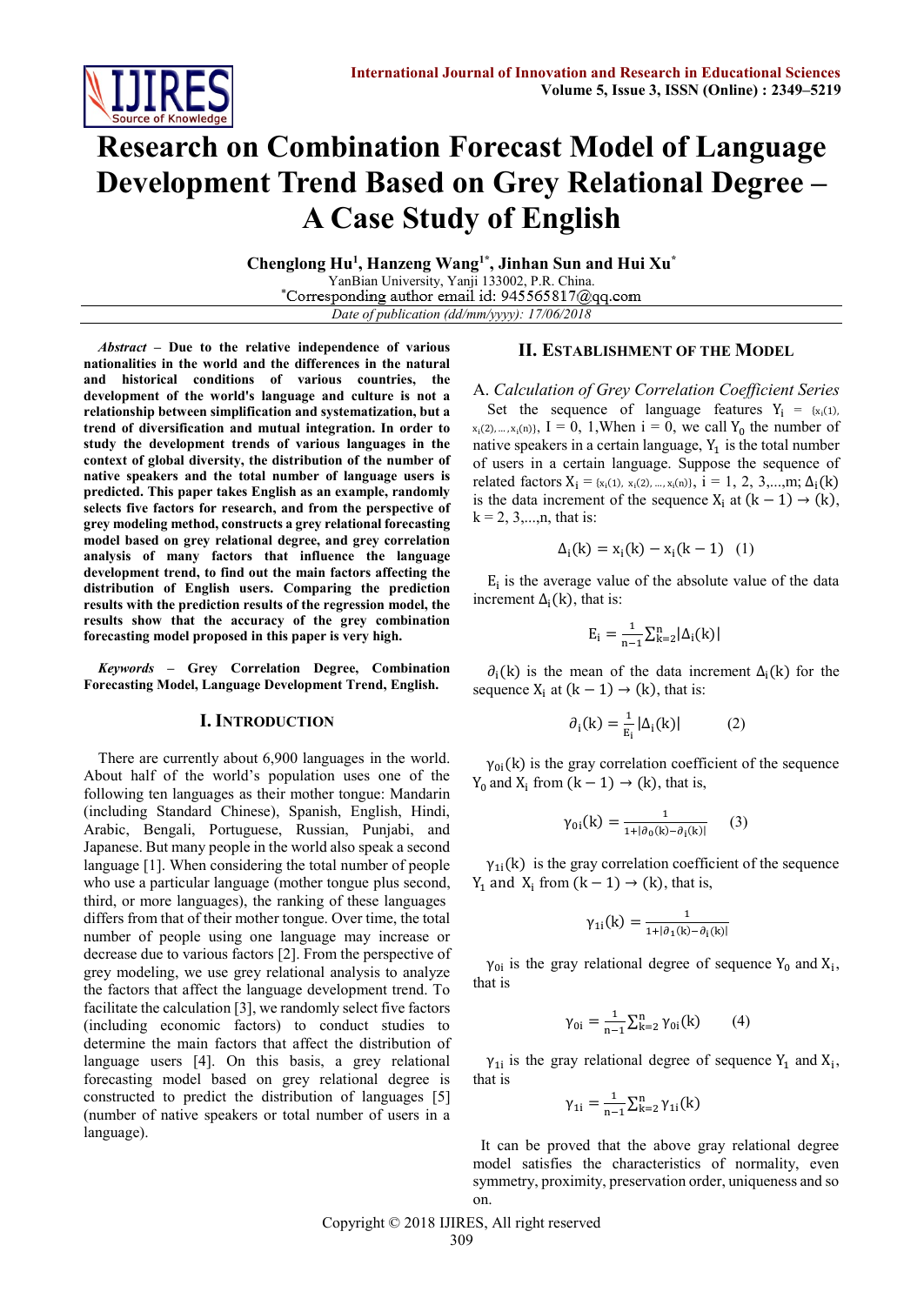

# **Research on Combination Forecast Model of Language Development Trend Based on Grey Relational Degree – A Case Study of English**

**Chenglong Hu<sup>1</sup> , Hanzeng Wang1\* , Jinhan Sun and Hui Xu\*** YanBian University, Yanji 133002, P.R. China.<br>
\*Corresponding author email id: 945565817@qq.com *Date of publication (dd/mm/yyyy): 17/06/2018*

*Abstract* **– Due to the relative independence of various nationalities in the world and the differences in the natural and historical conditions of various countries, the development of the world's language and culture is not a relationship between simplification and systematization, but a trend of diversification and mutual integration. In order to study the development trends of various languages in the context of global diversity, the distribution of the number of native speakers and the total number of language users is predicted. This paper takes English as an example, randomly selects five factors for research, and from the perspective of grey modeling method, constructs a grey relational forecasting model based on grey relational degree, and grey correlation analysis of many factors that influence the language development trend, to find out the main factors affecting the distribution of English users. Comparing the prediction results with the prediction results of the regression model, the results show that the accuracy of the grey combination forecasting model proposed in this paper is very high.**

*Keywords* **– Grey Correlation Degree, Combination Forecasting Model, Language Development Trend, English.**

## **I. INTRODUCTION**

There are currently about 6,900 languages in the world. About half of the world's population uses one of the following ten languages as their mother tongue: Mandarin (including Standard Chinese), Spanish, English, Hindi, Arabic, Bengali, Portuguese, Russian, Punjabi, and Japanese. But many people in the world also speak a second language [1]. When considering the total number of people who use a particular language (mother tongue plus second, third, or more languages), the ranking of these languages differs from that of their mother tongue. Over time, the total number of people using one language may increase or decrease due to various factors [2]. From the perspective of grey modeling, we use grey relational analysis to analyze the factors that affect the language development trend. To facilitate the calculation [3], we randomly select five factors (including economic factors) to conduct studies to determine the main factors that affect the distribution of language users [4]. On this basis, a grey relational forecasting model based on grey relational degree is constructed to predict the distribution of languages [5] (number of native speakers or total number of users in a language).

# **II. ESTABLISHMENT OF THE MODEL**

A. *Calculation of Grey Correlation Coefficient Series*  Set the sequence of language features  $Y_i = \{x_i(1),$  $x_i(2), ..., x_i(n)$ ,  $I = 0, 1,$  When  $i = 0$ , we call  $Y_0$  the number of native speakers in a certain language,  $Y_1$  is the total number of users in a certain language. Suppose the sequence of related factors  $X_i = \{x_i(1), x_i(2), \ldots, x_i(n)\}, i = 1, 2, 3, \ldots, m; \Delta_i(k)$ is the data increment of the sequence  $X_i$  at  $(k - 1) \rightarrow (k)$ ,  $k = 2, 3, \ldots, n$ , that is:

$$
\Delta_{i}(k) = x_{i}(k) - x_{i}(k-1) \quad (1)
$$

 $E_i$  is the average value of the absolute value of the data increment  $\Delta_i(k)$ , that is:

$$
E_i = \frac{1}{n-1} \sum_{k=2}^n |\Delta_i(k)|
$$

 $\partial_i(k)$  is the mean of the data increment  $\Delta_i(k)$  for the sequence  $X_i$  at  $(k - 1) \rightarrow (k)$ , that is:

$$
\partial_i(k) = \frac{1}{E_i} |\Delta_i(k)| \tag{2}
$$

 $\gamma_{0i}(k)$  is the gray correlation coefficient of the sequence  $Y_0$  and  $X_i$  from  $(k - 1) \rightarrow (k)$ , that is,

$$
\gamma_{0i}(k) = \frac{1}{1 + |\partial_0(k) - \partial_i(k)|} \qquad (3)
$$

 $\gamma_{1i}(k)$  is the gray correlation coefficient of the sequence Y<sub>1</sub> and X<sub>i</sub> from  $(k - 1) \rightarrow (k)$ , that is,

$$
\gamma_{1i}(k)=\tfrac{1}{1+|\partial_1(k)-\partial_i(k)|}
$$

 $\gamma_{0i}$  is the gray relational degree of sequence  $Y_0$  and  $X_i$ , that is

$$
\gamma_{0i} = \frac{1}{n-1} \sum_{k=2}^{n} \gamma_{0i}(k) \qquad (4)
$$

 $\gamma_{1i}$  is the gray relational degree of sequence  $Y_1$  and  $X_i$ , that is

$$
\gamma_{1i} = \frac{1}{n-1} \sum_{k=2}^{n} \gamma_{1i}(k)
$$

 It can be proved that the above gray relational degree model satisfies the characteristics of normality, even symmetry, proximity, preservation order, uniqueness and so on.

Copyright © 2018 IJIRES, All right reserved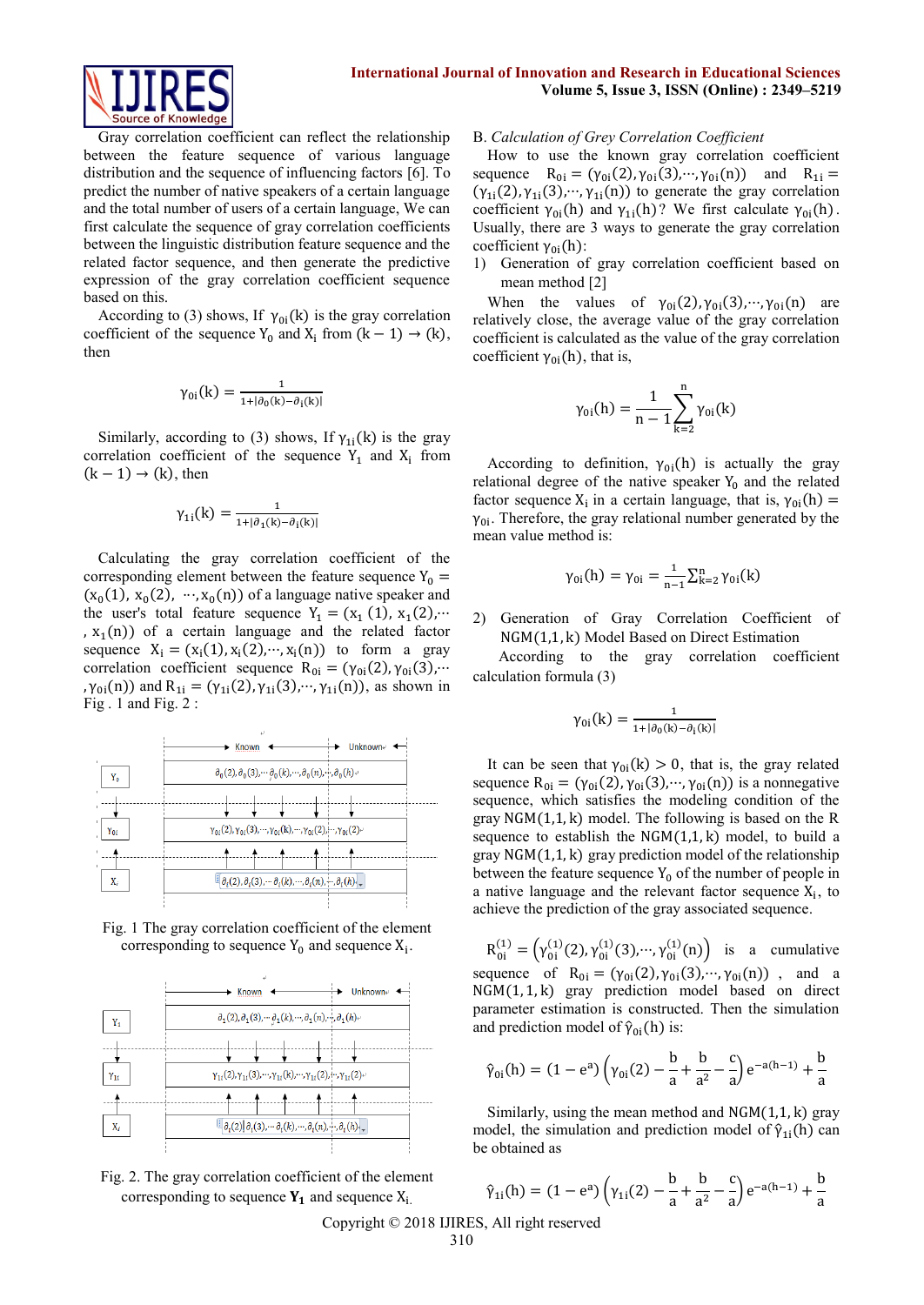

Gray correlation coefficient can reflect the relationship between the feature sequence of various language distribution and the sequence of influencing factors [6]. To predict the number of native speakers of a certain language and the total number of users of a certain language, We can first calculate the sequence of gray correlation coefficients between the linguistic distribution feature sequence and the related factor sequence, and then generate the predictive expression of the gray correlation coefficient sequence based on this.

According to (3) shows, If  $\gamma_{0i}(k)$  is the gray correlation coefficient of the sequence  $Y_0$  and  $X_i$  from  $(k - 1) \rightarrow (k)$ , then

$$
\gamma_{0i}(k) = \frac{1}{1 + |\partial_0(k) - \partial_i(k)|}
$$

Similarly, according to (3) shows, If  $\gamma_{1i}(k)$  is the gray correlation coefficient of the sequence  $Y_1$  and  $X_i$  from  $(k - 1) \rightarrow (k)$ , then

$$
\gamma_{1i}(k) = \frac{1}{1 + |\partial_1(k) - \partial_i(k)|}
$$

Calculating the gray correlation coefficient of the corresponding element between the feature sequence  $Y_0$  =  $(x_0(1), x_0(2), \dots, x_0(n))$  of a language native speaker and the user's total feature sequence  $Y_1 = (x_1 (1), x_1 (2), \cdots)$ ,  $x_1(n)$ ) of a certain language and the related factor sequence  $X_i = (x_i(1), x_i(2), \dots, x_i(n))$  to form a gray correlation coefficient sequence  $R_{0i} = (\gamma_{0i}(2), \gamma_{0i}(3), \cdots)$ ,  $\gamma_{0i}(n)$ ) and  $R_{1i} = (\gamma_{1i}(2), \gamma_{1i}(3), \cdots, \gamma_{1i}(n))$ , as shown in Fig . 1 and Fig. 2 :



Fig. 1 The gray correlation coefficient of the element corresponding to sequence  $Y_0$  and sequence  $X_i$ .





#### B. *Calculation of Grey Correlation Coefficient*

How to use the known gray correlation coefficient sequence  $R_{0i} = (\gamma_{0i}(2), \gamma_{0i}(3), \cdots, \gamma_{0i}(n))$  and  $R_{1i} =$  $(\gamma_{1i}(2), \gamma_{1i}(3), \cdots, \gamma_{1i}(n))$  to generate the gray correlation coefficient  $\gamma_{0i}(h)$  and  $\gamma_{1i}(h)$ ? We first calculate  $\gamma_{0i}(h)$ . Usually, there are 3 ways to generate the gray correlation coefficient  $\gamma_{0i}(h)$ :

1) Generation of gray correlation coefficient based on mean method [2]

When the values of  $\gamma_{0i}(2), \gamma_{0i}(3), \cdots, \gamma_{0i}(n)$  are relatively close, the average value of the gray correlation coefficient is calculated as the value of the gray correlation coefficient  $\gamma_{0i}(h)$ , that is,

$$
\gamma_{0i}(h) = \frac{1}{n-1} \sum_{k=2}^{n} \gamma_{0i}(k)
$$

According to definition,  $\gamma_{0i}(h)$  is actually the gray relational degree of the native speaker  $Y_0$  and the related factor sequence  $X_i$  in a certain language, that is,  $\gamma_{0i}(h)$  =  $\gamma_{0i}$ . Therefore, the gray relational number generated by the mean value method is:

$$
\gamma_{0i}(h) = \gamma_{0i} = \frac{1}{n-1} \sum_{k=2}^{n} \gamma_{0i}(k)
$$

2) Generation of Gray Correlation Coefficient of NGM(1,1, k) Model Based on Direct Estimation

 According to the gray correlation coefficient calculation formula (3)

$$
\gamma_{0i}(k)=\tfrac{1}{1+|\partial_0(k)-\partial_i(k)|}
$$

It can be seen that  $\gamma_{0i}(k) > 0$ , that is, the gray related sequence  $R_{0i} = (\gamma_{0i}(2), \gamma_{0i}(3), \cdots, \gamma_{0i}(n))$  is a nonnegative sequence, which satisfies the modeling condition of the gray NGM(1,1, k) model. The following is based on the R sequence to establish the  $NGM(1,1,k)$  model, to build a gray NGM(1,1, k) gray prediction model of the relationship between the feature sequence  $Y_0$  of the number of people in a native language and the relevant factor sequence  $X_i$ , to achieve the prediction of the gray associated sequence.

 $R_{0i}^{(1)} = (\gamma_{0i}^{(1)}(2), \gamma_{0i}^{(1)}(3), \cdots, \gamma_{0i}^{(1)}(n))$  is a cumulative sequence of  $R_{0i} = (\gamma_{0i}(2), \gamma_{0i}(3), \cdots, \gamma_{0i}(n))$ , and a NGM(1, 1, k) gray prediction model based on direct parameter estimation is constructed. Then the simulation and prediction model of  $\hat{\gamma}_{0i}$ (h) is:

$$
\hat{\gamma}_{0i}(h) = (1 - e^{a}) \left( \gamma_{0i}(2) - \frac{b}{a} + \frac{b}{a^{2}} - \frac{c}{a} \right) e^{-a(h-1)} + \frac{b}{a}
$$

Similarly, using the mean method and  $NGM(1,1, k)$  gray model, the simulation and prediction model of  $\hat{\gamma}_{1i}$ (h) can be obtained as

$$
\hat{\gamma}_{1i}(h) = (1 - e^a) \left( \gamma_{1i}(2) - \frac{b}{a} + \frac{b}{a^2} - \frac{c}{a} \right) e^{-a(h-1)} + \frac{b}{a}
$$

Copyright © 2018 IJIRES, All right reserved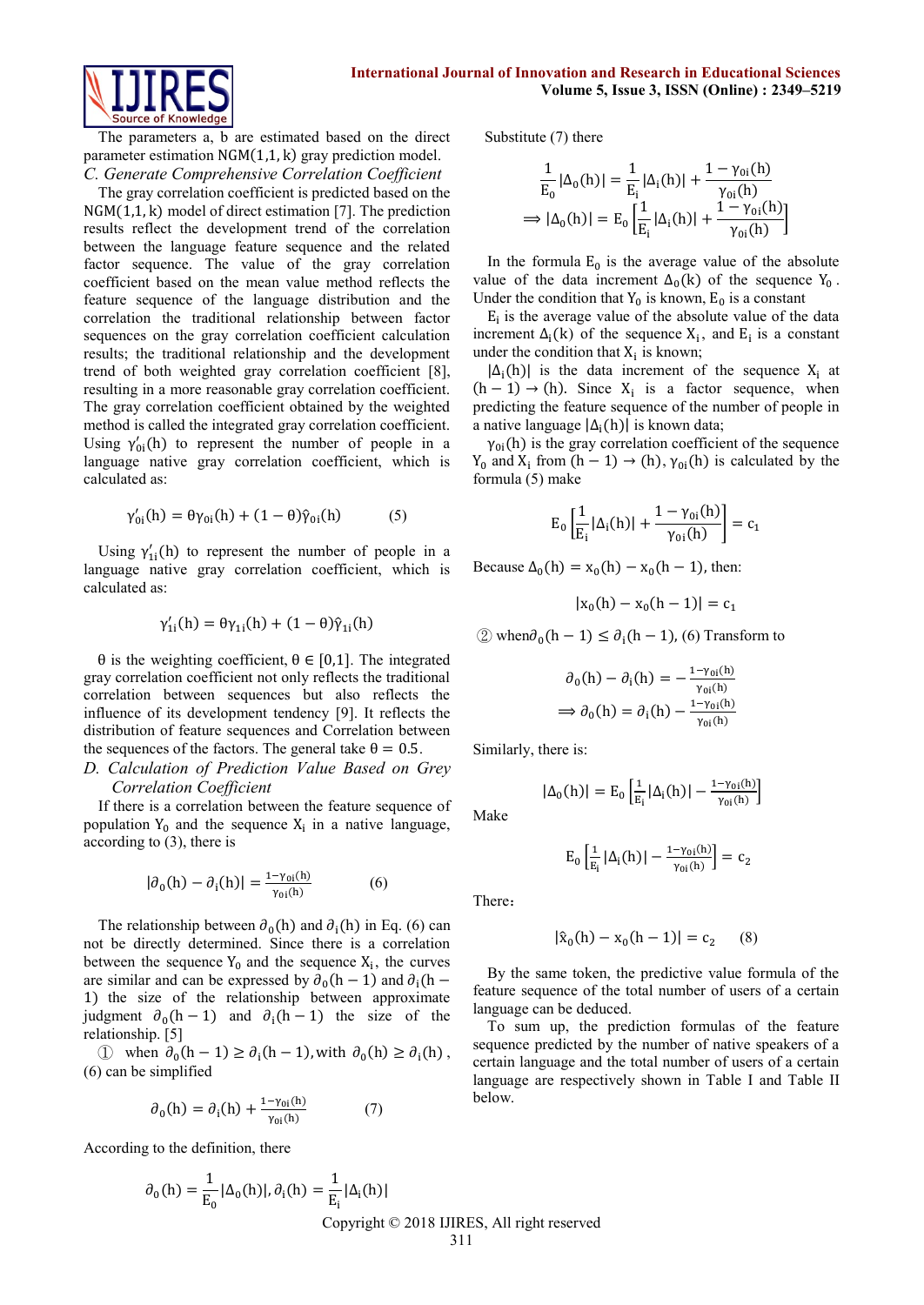

The parameters a, b are estimated based on the direct parameter estimation NGM(1,1, k) gray prediction model. *C. Generate Comprehensive Correlation Coefficient* 

The gray correlation coefficient is predicted based on the NGM(1,1, k) model of direct estimation [7]. The prediction results reflect the development trend of the correlation between the language feature sequence and the related factor sequence. The value of the gray correlation coefficient based on the mean value method reflects the feature sequence of the language distribution and the correlation the traditional relationship between factor sequences on the gray correlation coefficient calculation results; the traditional relationship and the development trend of both weighted gray correlation coefficient [8], resulting in a more reasonable gray correlation coefficient. The gray correlation coefficient obtained by the weighted method is called the integrated gray correlation coefficient. Using  $\gamma'_{0i}(h)$  to represent the number of people in a language native gray correlation coefficient, which is calculated as:

$$
\gamma_{0i}'(h) = \theta \gamma_{0i}(h) + (1 - \theta)\hat{\gamma}_{0i}(h) \tag{5}
$$

Using  $\gamma'_{1i}(h)$  to represent the number of people in a language native gray correlation coefficient, which is calculated as:

$$
\gamma_{1i}'(h)=\theta\gamma_{1i}(h)+(1-\theta)\hat{\gamma}_{1i}(h)
$$

θ is the weighting coefficient,  $θ ∈ [0,1]$ . The integrated gray correlation coefficient not only reflects the traditional correlation between sequences but also reflects the influence of its development tendency [9]. It reflects the distribution of feature sequences and Correlation between the sequences of the factors. The general take  $\theta = 0.5$ .

# *D. Calculation of Prediction Value Based on Grey Correlation Coefficient*

If there is a correlation between the feature sequence of population  $Y_0$  and the sequence  $X_i$  in a native language, according to (3), there is

$$
|\partial_0(\mathbf{h}) - \partial_i(\mathbf{h})| = \frac{1 - \gamma_{0i}(\mathbf{h})}{\gamma_{0i}(\mathbf{h})}
$$
 (6)

The relationship between  $\partial_0(h)$  and  $\partial_i(h)$  in Eq. (6) can not be directly determined. Since there is a correlation between the sequence  $Y_0$  and the sequence  $X_i$ , the curves are similar and can be expressed by  $\partial_0(h-1)$  and  $\partial_i(h-1)$ 1) the size of the relationship between approximate judgment  $\partial_0(h-1)$  and  $\partial_i(h-1)$  the size of the relationship. [5]

① when  $\partial_0(h-1) \ge \partial_i(h-1)$ , with  $\partial_0(h) \ge \partial_i(h)$ , (6) can be simplified

$$
\partial_0(h) = \partial_i(h) + \frac{1 - \gamma_{0i}(h)}{\gamma_{0i}(h)}\tag{7}
$$

According to the definition, there

$$
\partial_0(\mathbf{h}) = \frac{1}{E_0} |\Delta_0(\mathbf{h})|, \partial_i(\mathbf{h}) = \frac{1}{E_i} |\Delta_i(\mathbf{h})|
$$
  
Copyright © 2018 IJIRES, All right reserved  
311

Substitute (7) there

$$
\frac{1}{E_0} |\Delta_0(h)| = \frac{1}{E_i} |\Delta_i(h)| + \frac{1 - \gamma_{0i}(h)}{\gamma_{0i}(h)}
$$
  
\n
$$
\Rightarrow |\Delta_0(h)| = E_0 \left[ \frac{1}{E_i} |\Delta_i(h)| + \frac{1 - \gamma_{0i}(h)}{\gamma_{0i}(h)} \right]
$$

In the formula  $E_0$  is the average value of the absolute value of the data increment  $\Delta_0(k)$  of the sequence Y<sub>0</sub>. Under the condition that  $Y_0$  is known,  $E_0$  is a constant

 $E_i$  is the average value of the absolute value of the data increment  $\Delta_i(k)$  of the sequence  $X_i$ , and  $E_i$  is a constant under the condition that  $X_i$  is known;

 $|\Delta_i(h)|$  is the data increment of the sequence X<sub>i</sub> at  $(h-1) \rightarrow (h)$ . Since  $X_i$  is a factor sequence, when predicting the feature sequence of the number of people in a native language  $|\Delta_i(h)|$  is known data;

 $\gamma_{0i}$ (h) is the gray correlation coefficient of the sequence Y<sub>0</sub> and X<sub>i</sub> from  $(h - 1) \rightarrow (h)$ ,  $\gamma_{0i}(h)$  is calculated by the formula (5) make

$$
E_0\left[\frac{1}{E_i}\left|\Delta_i(h)\right|+\frac{1-\gamma_{0i}(h)}{\gamma_{0i}(h)}\right]=c_1
$$

Because  $\Delta_0(h) = x_0(h) - x_0(h - 1)$ , then:

$$
|x_0(h) - x_0(h - 1)| = c_1
$$

② when $∂<sub>0</sub>(h – 1) ≤ ∂<sub>i</sub>(h – 1)$ , (6) Transform to

$$
\partial_0(\mathbf{h}) - \partial_i(\mathbf{h}) = -\frac{1 - \gamma_{0i}(\mathbf{h})}{\gamma_{0i}(\mathbf{h})}
$$

$$
\implies \partial_0(\mathbf{h}) = \partial_i(\mathbf{h}) - \frac{1 - \gamma_{0i}(\mathbf{h})}{\gamma_{0i}(\mathbf{h})}
$$

Similarly, there is:

 $|\Delta_0(h)| = E_0 \left[\frac{1}{R}\right]$ Make

$$
E_0\left[\frac{1}{E_i}|\Delta_i(h)|-\frac{1-\gamma_{0i}(h)}{\gamma_{0i}(h)}\right]=c_2
$$

 $\frac{1}{E_i} |\Delta_i(h)| - \frac{1 - \gamma_{0i}(h)}{\gamma_{0i}(h)}$ 

 $\frac{-\gamma_{0i}(n)}{\gamma_{0i}(h)}$ 

There:

$$
|\hat{x}_0(h) - x_0(h - 1)| = c_2 \qquad (8)
$$

By the same token, the predictive value formula of the feature sequence of the total number of users of a certain language can be deduced.

To sum up, the prediction formulas of the feature sequence predicted by the number of native speakers of a certain language and the total number of users of a certain language are respectively shown in Table I and Table II below.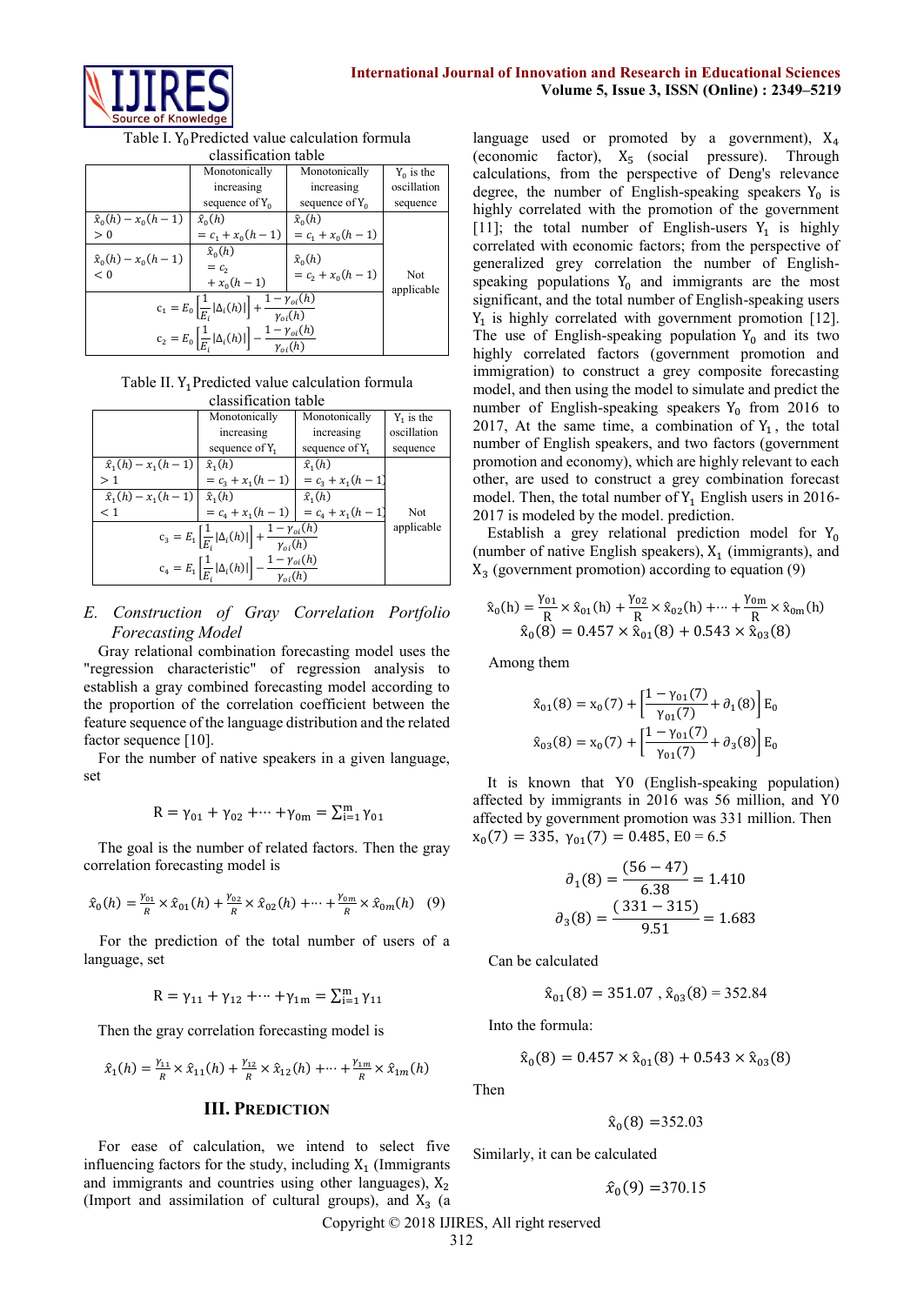

Table I. Y<sub>0</sub>Predicted value calculation formula classification table

| ciassification table                                                                                                  |                           |                    |                   |  |  |  |  |  |
|-----------------------------------------------------------------------------------------------------------------------|---------------------------|--------------------|-------------------|--|--|--|--|--|
|                                                                                                                       | Monotonically             | Monotonically      | $Y_0$ is the      |  |  |  |  |  |
|                                                                                                                       | increasing                | increasing         | oscillation       |  |  |  |  |  |
|                                                                                                                       | sequence of $Y_0$         | sequence of $Y_0$  | sequence          |  |  |  |  |  |
| $\hat{x}_0(h) - x_0(h-1)$                                                                                             | $\hat{x}_0(h)$            | $\hat{x}_0(h)$     |                   |  |  |  |  |  |
| > 0                                                                                                                   | $=c_1+x_0(h-1)$           | $=c_1+x_0(h-1)$    |                   |  |  |  |  |  |
| $\hat{x}_0(h) - x_0(h-1)$                                                                                             | $\hat{x}_0(h)$            | $\hat{x}_0(h)$     |                   |  |  |  |  |  |
| < 0                                                                                                                   | $= c_{2}$<br>$+ x_0(h-1)$ | $= c_2 + x_0(h-1)$ | Not<br>applicable |  |  |  |  |  |
| $c_1 = E_0 \left[ \frac{1}{E_i}  \Delta_i(h)  \right] + \frac{1 - \gamma_{oi}(h)}{\gamma_{oi}(h)}$                    |                           |                    |                   |  |  |  |  |  |
| $\label{eq:cs} \mathrm{c}_2 = E_0\left[\frac{1}{E_i} \Delta_i(h) \right] - \frac{1-\gamma_{oi}(h)}{\gamma_{\sim}(h)}$ |                           |                    |                   |  |  |  |  |  |

Table II. Y<sub>1</sub> Predicted value calculation formula classification table

|                                                                                                                                       | Monotonically                         | Monotonically     | $Y_1$ is the |  |  |  |  |  |  |
|---------------------------------------------------------------------------------------------------------------------------------------|---------------------------------------|-------------------|--------------|--|--|--|--|--|--|
|                                                                                                                                       | increasing                            | increasing        | oscillation  |  |  |  |  |  |  |
|                                                                                                                                       | sequence of $Y_1$                     | sequence of $Y_1$ | sequence     |  |  |  |  |  |  |
| $\hat{x}_1(h) - x_1(h-1)$                                                                                                             | $\hat{x}_1(h)$                        | $\hat{x}_1(h)$    |              |  |  |  |  |  |  |
| >1                                                                                                                                    | $= c_3 + x_1(h-1)$                    | $=c_3+x_1(h-1)$   |              |  |  |  |  |  |  |
| $\hat{x}_1(h) - x_1(h-1) \hat{x}_1(h)$                                                                                                |                                       | $\hat{x}_1(h)$    |              |  |  |  |  |  |  |
| $\leq 1$                                                                                                                              | $= c_4 + x_1(h-1)$ $= c_4 + x_1(h-1)$ |                   | Not          |  |  |  |  |  |  |
| $c_3 = E_1 \left[ \frac{1}{E_i}  \Delta_i(h)  \right] + \frac{1 - \gamma_{oi}(h)}{\gamma_{oi}(h)}$                                    | applicable                            |                   |              |  |  |  |  |  |  |
| $\label{eq:1} \mathrm{c}_4 = E_1 \left[ \frac{1}{E_i} \left  \Delta_i(h) \right  \right] - \frac{1 - \gamma_{oi}(h)}{\gamma_{oi}(h)}$ |                                       |                   |              |  |  |  |  |  |  |

# *E. Construction of Gray Correlation Portfolio Forecasting Model*

Gray relational combination forecasting model uses the "regression characteristic" of regression analysis to establish a gray combined forecasting model according to the proportion of the correlation coefficient between the feature sequence of the language distribution and the related factor sequence [10].

For the number of native speakers in a given language, set

$$
R = \gamma_{01} + \gamma_{02} + \dots + \gamma_{0m} = \sum_{i=1}^{m} \gamma_{01}
$$

The goal is the number of related factors. Then the gray correlation forecasting model is

$$
\hat{x}_0(h) = \frac{\gamma_{01}}{R} \times \hat{x}_{01}(h) + \frac{\gamma_{02}}{R} \times \hat{x}_{02}(h) + \dots + \frac{\gamma_{0m}}{R} \times \hat{x}_{0m}(h) \quad (9)
$$

For the prediction of the total number of users of a language, set

$$
R = \gamma_{11} + \gamma_{12} + \dots + \gamma_{1m} = \sum_{i=1}^{m} \gamma_{11}
$$

Then the gray correlation forecasting model is

$$
\hat{x}_1(h)=\tfrac{\gamma_{11}}{R}\times \hat{x}_{11}(h)+\tfrac{\gamma_{12}}{R}\times \hat{x}_{12}(h)+\cdots+\tfrac{\gamma_{1m}}{R}\times \hat{x}_{1m}(h)
$$

## **III. PREDICTION**

For ease of calculation, we intend to select five influencing factors for the study, including  $X_1$  (Immigrants and immigrants and countries using other languages),  $X_2$ (Import and assimilation of cultural groups), and  $X_3$  (a

language used or promoted by a government),  $X_4$ (economic factor),  $X_5$  (social pressure). Through calculations, from the perspective of Deng's relevance degree, the number of English-speaking speakers  $Y_0$  is highly correlated with the promotion of the government [11]; the total number of English-users  $Y_1$  is highly correlated with economic factors; from the perspective of generalized grey correlation the number of Englishspeaking populations  $Y_0$  and immigrants are the most significant, and the total number of English-speaking users  $Y_1$  is highly correlated with government promotion [12]. The use of English-speaking population  $Y_0$  and its two highly correlated factors (government promotion and immigration) to construct a grey composite forecasting model, and then using the model to simulate and predict the number of English-speaking speakers  $Y_0$  from 2016 to 2017, At the same time, a combination of  $Y_1$ , the total number of English speakers, and two factors (government promotion and economy), which are highly relevant to each other, are used to construct a grey combination forecast model. Then, the total number of  $Y_1$  English users in 2016-2017 is modeled by the model. prediction.

Establish a grey relational prediction model for  $Y_0$ (number of native English speakers),  $X_1$  (immigrants), and  $X_3$  (government promotion) according to equation (9)

$$
\hat{x}_0(h) = \frac{\gamma_{01}}{R} \times \hat{x}_{01}(h) + \frac{\gamma_{02}}{R} \times \hat{x}_{02}(h) + \dots + \frac{\gamma_{0m}}{R} \times \hat{x}_{0m}(h)
$$
  

$$
\hat{x}_0(8) = 0.457 \times \hat{x}_{01}(8) + 0.543 \times \hat{x}_{03}(8)
$$

Among them

$$
\hat{x}_{01}(8) = x_0(7) + \left[\frac{1 - \gamma_{01}(7)}{\gamma_{01}(7)} + \partial_1(8)\right] E_0
$$
  

$$
\hat{x}_{03}(8) = x_0(7) + \left[\frac{1 - \gamma_{01}(7)}{\gamma_{01}(7)} + \partial_3(8)\right] E_0
$$

It is known that Y0 (English-speaking population) affected by immigrants in 2016 was 56 million, and Y0 affected by government promotion was 331 million. Then  $x_0(7) = 335$ ,  $\gamma_{01}(7) = 0.485$ ,  $E0 = 6.5$ 

$$
\partial_1(8) = \frac{(56 - 47)}{6.38} = 1.410
$$

$$
\partial_3(8) = \frac{(331 - 315)}{9.51} = 1.683
$$

Can be calculated

$$
\hat{x}_{01}(8) = 351.07
$$
,  $\hat{x}_{03}(8) = 352.84$ 

Into the formula:

$$
\hat{x}_0(8) = 0.457 \times \hat{x}_{01}(8) + 0.543 \times \hat{x}_{03}(8)
$$

Then

 $\hat{x}_0(8) = 352.03$ 

Similarly, it can be calculated

$$
\hat{x}_0(9) = 370.15
$$